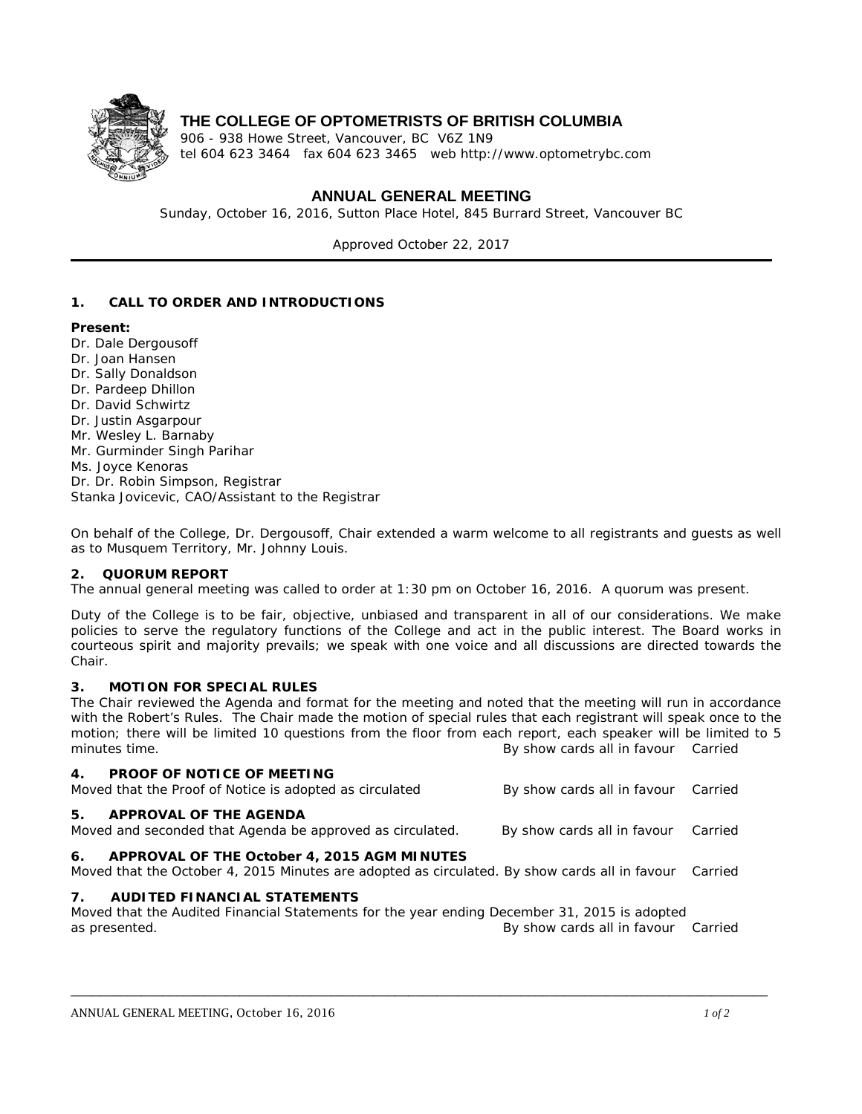

## **THE COLLEGE OF OPTOMETRISTS OF BRITISH COLUMBIA**

906 - 938 Howe Street, Vancouver, BC V6Z 1N9 tel 604 623 3464 fax 604 623 3465 web http://www.optometrybc.com

## **ANNUAL GENERAL MEETING**

Sunday, October 16, 2016, Sutton Place Hotel, 845 Burrard Street, Vancouver BC

Approved October 22, 2017

### **1. CALL TO ORDER AND INTRODUCTIONS**

#### **Present:**

- Dr. Dale Dergousoff
- Dr. Joan Hansen
- Dr. Sally Donaldson
- Dr. Pardeep Dhillon
- Dr. David Schwirtz
- Dr. Justin Asgarpour
- Mr. Wesley L. Barnaby
- Mr. Gurminder Singh Parihar
- Ms. Joyce Kenoras
- Dr. Dr. Robin Simpson, Registrar
- Stanka Jovicevic, CAO/Assistant to the Registrar

On behalf of the College, Dr. Dergousoff, Chair extended a warm welcome to all registrants and guests as well as to Musquem Territory, Mr. Johnny Louis.

#### **2. QUORUM REPORT**

The annual general meeting was called to order at 1:30 pm on October 16, 2016. A quorum was present.

Duty of the College is to be fair, objective, unbiased and transparent in all of our considerations. We make policies to serve the regulatory functions of the College and act in the public interest. The Board works in courteous spirit and majority prevails; we speak with one voice and all discussions are directed towards the Chair.

#### **3. MOTION FOR SPECIAL RULES**

The Chair reviewed the Agenda and format for the meeting and noted that the meeting will run in accordance with the Robert's Rules. The Chair made the motion of special rules that each registrant will speak once to the motion; there will be limited 10 questions from the floor from each report, each speaker will be limited to 5 minutes time. *By show cards all in favour Carried*

| 4.<br><b>PROOF OF NOTICE OF MEETING</b><br>Moved that the Proof of Notice is adopted as circulated                                              | By show cards all in favour Carried |         |
|-------------------------------------------------------------------------------------------------------------------------------------------------|-------------------------------------|---------|
| 5.<br>APPROVAL OF THE AGENDA<br>Moved and seconded that Agenda be approved as circulated.                                                       | By show cards all in favour Carried |         |
| 6. APPROVAL OF THE October 4, 2015 AGM MINUTES<br>Moved that the October 4, 2015 Minutes are adopted as circulated. By show cards all in favour |                                     | Carried |
| $7_{\circ}$<br>AUDITED FINANCIAL STATEMENTS                                                                                                     |                                     |         |
| Moved that the Audited Financial Statements for the year ending December 31, 2015 is adopted                                                    |                                     |         |
| as presented.                                                                                                                                   | By show cards all in favour Carried |         |

\_\_\_\_\_\_\_\_\_\_\_\_\_\_\_\_\_\_\_\_\_\_\_\_\_\_\_\_\_\_\_\_\_\_\_\_\_\_\_\_\_\_\_\_\_\_\_\_\_\_\_\_\_\_\_\_\_\_\_\_\_\_\_\_\_\_\_\_\_\_\_\_\_\_\_\_\_\_\_\_\_\_\_\_\_\_\_\_\_\_\_\_\_\_\_\_\_\_\_